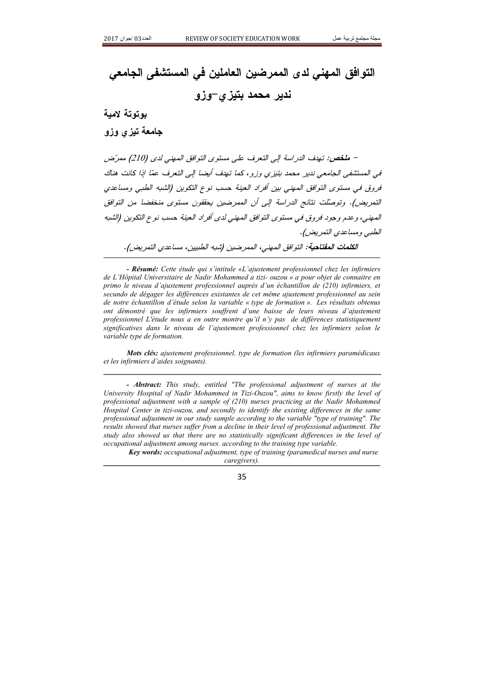## التوافق المهنى لدى الممرضين العاملين في المستشفى الجامعي ندیر محمد بتیزی–وزو

## بوتوتة لامية

جامعة تيزي وزو

– ملخص: تهدف الدراسة إلى التعرف على مستوى التوافق المهنى لدى (210) ممرّض في المستشفى الجامعي ندير محمد بتيزي وزو ، كما تهدف أيضا إلى التعرف عمّا إذا كانت هناك فروق في مستوى التوافق المهني بين أفراد العينة حسب نوع التكوين (الشبه الطبي ومساعدي التمريض). وتوصلت نتائج الدراسة إلى أن الممرضين يحققون مستوى منخفضا من التوافق المصنى، و عدم و جود فروق في مستوى التوافق المصنى لدى أفراد العينة حسب نوع التكوين (الشبه الطبي ومساعدي التمريض). الكلمات المفتاحية: التوافق المهنى، الممرضين (شبه الطبيين، مساعدي التمريض).

- Résumé: Cette étude qui s'intitule «L'ajustement professionnel chez les infirmiers de L'Hôpital Universitaire de Nadir Mohammed a tizi- ouzou » a pour objet de connaitre en primo le niveau d'ajustement professionnel auprès d'un échantillon de (210) infirmiers, et secundo de dégager les différences existantes de cet même ajustement professionnel au sein de notre échantillon d'étude selon la variable « type de formation ». Les résultats obtenus ont démontré que les infirmiers souffrent d'une baisse de leurs niveau d'ajustement professionnel L'étude nous a en outre montre qu'il n'y pas de différences statistiquement significatives dans le niveau de l'ajustement professionnel chez les infirmiers selon le variable type de formation.

Mots clés: ajustement professionnel, type de formation (les infirmiers paramédicaux et les infirmiers d'aides soignants).

- **Abstract:** This study, entitled "The professional adjustment of nurses at the University Hospital of Nadir Mohammed in Tizi-Ouzou", aims to know firstly the level of professional adjustment with a sample of  $(210)$  nurses practicing at the Nadir Mohammed Hospital Center in tizi-ouzou, and secondly to identify the existing differences in the same professional adjustment in our study sample according to the variable "type of training". The results showed that nurses suffer from a decline in their level of professional adjustment. The study also showed us that there are no statistically significant differences in the level of occupational adjustment among nurses, according to the training type variable.

Key words: occupational adjustment, type of training (paramedical nurses and nurse caregivers).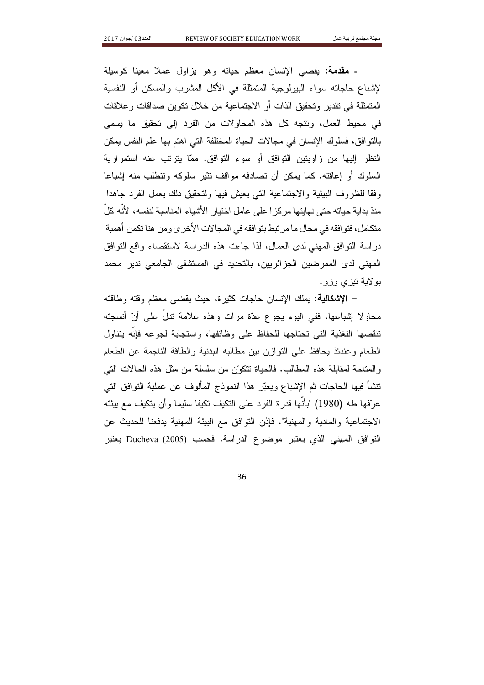- **مقدمة:** يقضبي الإنسان معظم حياته وهو بزلول عملا معينا كوسيلة لإشباع حاجاته سواء البيولوجية المتمثلة في الأكل المشرب والمسكن أو النفسية المتمثلة في تقدير وتحقيق الذات أو الاجتماعية من خلال تكوين صداقات وعلاقات في محيط العمل، وتتجه كل هذه المحاولات من الفرد إلى تحقيق ما يسمى بالتو افق، فسلوك الإنسان في مجالات الحياة المختلفة التي اهتم بها علم النفس يمكن النظر إليها من زاويتين التوافق أو سوء التوافق. ممّا يترتب عنه استمرارية السلوك أو إعاقته. كما يمكن أن تصادفه مواقف تثير سلوكه وتتطلب منه إشباعا وفقا للظروف البيئية والاجتماعية التبي يعيش فيها ولتحقيق ذلك يعمل الفرد جاهدا منذ بداية حياته حتى نهايتها مركز ا على عامل اختيار الأشياء المناسبة لنفسه، لأنه كلَّ متكامل، فتو افقه في مجال ما مر تبط بنو افقه في المجالات الأخر ي و من هنا تكمن أهمية در اسة النَّو افق المهنى لدى العمال، لذا جاءت هذه الدر اسة لاستقصاء واقع النَّو افق المهنى لدى الممرضين الجزائريين، بالتحديد في المستشفى الجامعي ندير محمد بو لاية نيزي وزو.

– الاشكالية: بملك الإنسان حاجات كثير ة، حيث بقضي معظم وقته وطاقته محاولا إشباعها، ففي اليوم يجوع عدّة مرات وهذه علامة ندلٍّ على أنّ أنسجته تتقصها التغذية التى تحتاجها للحفاظ على وظائفها، واستجابة لجوعه فإنه يتناول الطعام وعندئذ بحافظ على النوازن بين مطالبه البدنية والطاقة الناجمة عن الطعام والمتاحة لمقابلة هذه المطالب. فالحياة تتكوَّن من سلسلة من مثل هذه الحالات التي نتشأ فيها الحاجات ثم الإشباع ويعبّر هذا النموذج المألوف عن عملية النوافق التي عرّفها طه (1980) "بِأَنْها قدر ة الفر د علي النكيف نكيفا سليما و أن ينكيف مع بيئته الاجتماعية والمادية والمهنية". فإذن النوافق مع البيئة المهنية يدفعنا للحديث عن التوافق المهنى الذي يعتبر موضوع الدراسة. فحسب Ducheva (2005) يعتبر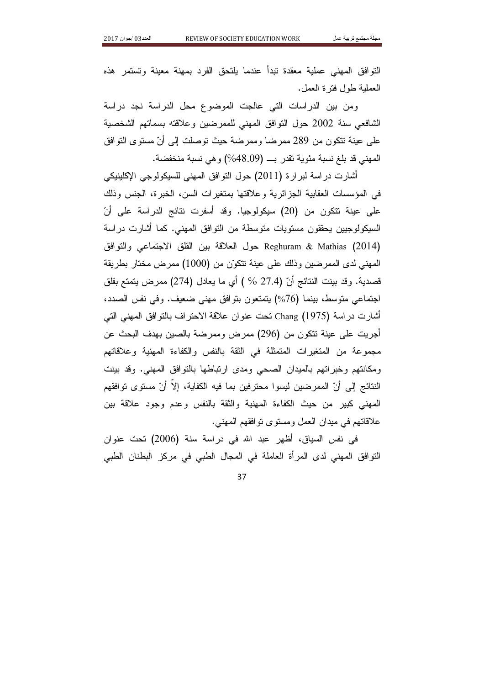التوافق المهنى عملية معقدة تبدأ عندما يلتحق الفرد بمهنة معينة وتستمر هذه العملية طول فتر ة العمل.

ومن بين الدراسات التي عالجت الموضوع محل الدراسة نجد دراسة الشافعي سنة 2002 حول النوافق المهنى للممرضين وعلاقته بسماتهم الشخصية على عينة تتكون من 289 ممرضا وممرضة حيث توصلت إلى أنّ مستوى التوافق المهني قد بلغ نسبة مئوية تقدر بـ (48.09%) وهي نسبة منخفضة.

أشارت در اسة لبر ار ة (2011) حول التو افق المهنى للسيكولوجي الإكلينيكي في المؤسسات العقابية الجزائرية وعلاقتها بمتغيرات السن، الخبرة، الجنس وذلك على عينة نتكون من (20) سيكولوجيا. وقد أسفرت نتائج الدراسة على أنّ السبكولوجيين يحققون مستويات متوسطة من التوافق المهنى. كما أشارت در اسة Reghuram & Mathias (2014) حول العلاقة بين القلق الاجتماعي والتوافق المهني لدى الممرضين وذلك على عينة تتكوَّن من (1000) ممرض مختار بطريقة قصدية. وقد بينت النتائج أنّ (27.4 % ) أي ما يعادل (274) ممرض يتمتع بقلق اجتماعي متوسط، بينما (76%) يتمتعون بتوافق مهنى ضعيف. وفي نفس الصدد، أشار ت در اسة Chang (1975) تحت عنو ان علاقة الاحتر اف بالتو افق المهنى التي أجريت على عينة نتكون من (296) ممرض وممرضة بالصين بهدف البحث عن مجموعة من المتغيرات المتمثلة في الثقة بالنفس والكفاءة المهنية وعلاقاتهم ومكانتهم وخبراتهم بالميدان الصحى ومدى ارتباطها بالتوافق المهنى. وقد بينت النتائج إلى أنّ الممرضين ليسوا محترفين بما فيه الكفاية، إلا أنّ مستوى تو افقهم المهنى كبير من حيث الكفاءة المهنية والثقة بالنفس وعدم وجود علاقة بين علاقاتهم في ميدان العمل ومستوى توافقهم المهنى.

في نفس السياق، أظهر عبد الله في دراسة سنة (2006) تحت عنوان النَّوافق المهنى لدى المرأة العاملة في المجال الطبي في مركز البطنان الطبي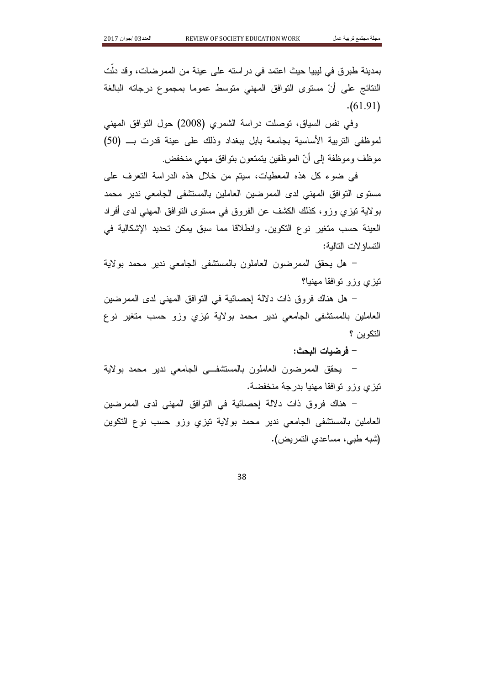بمدينة طبرق في ليبيا حيث اعتمد في دراسته على عينة من الممرضات، وقد دلت النتائج على أنّ مستوى التوافق المهنى متوسط عموما بمجموع درجاته البالغة  $(61.91)$ 

وفي نفس السياق، توصلت دراسة الشمري (2008) حول النوافق المهنى لموظفى التربية الأساسية بجامعة بابل ببغداد وذلك على عينة قدرت بـــ (50) موظف وموظفة إلى أنّ الموظفين يتمتعون بتوافق مهنى منخفض.

في ضوء كل هذه المعطيات، سيتم من خلال هذه الدراسة التعرف على مستوى التوافق المهنى لدى الممرضين العاملين بالمستشفى الجامعي ندير محمد بو لاية نيزي وزو، كذلك الكشف عن الفروق في مستوى النوافق المهنى لدى أفراد العينة حسب متغير نوع التكوين. وانطلاقا مما سبق يمكن تحديد الإشكالية في النساؤ لات التالية:

– هل يحقق الممرضون العاملون بالمستشفى الجامعي ندير محمد بولاية نيزى وزو نوافقا مهنيا؟

– هل هناك فر و ق ذات دلالة إحصائية في التو افق المهنى لدى الممر ضبن العاملين بالمستشفى الجامعي ندير محمد بولاية نيزي وزو حسب منغير نوع التكوين ؟

– فرضيات البحث:

– يحقق الممرضون العاملون بالمستشفــي الجامعي ندير محمد بولاية نيزي وزو نوافقا مهنيا بدرجة منخفضة.

– هناك فروق ذات دلالة الحصائية في النوافق المهني لدى الممرضين العاملين بالمستشفى الجامعي ندير محمد بولاية نيزي وزو حسب نوع النكوين (شبه طبي، مساعدي التمريض).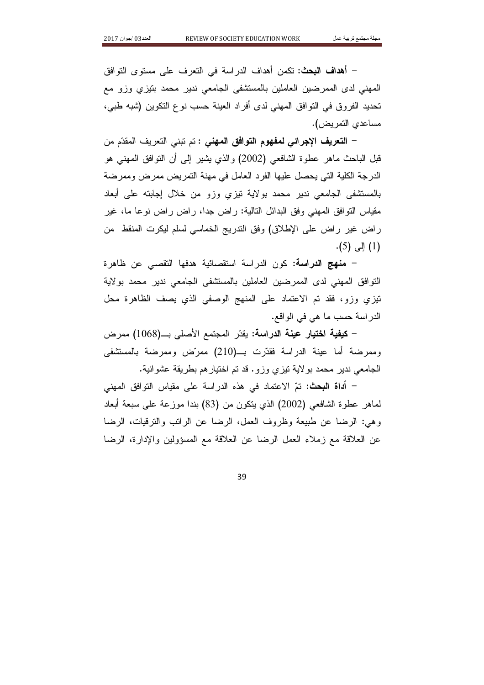– أهداف البحث: تكمن أهداف الدراسة في التعرف على مستوى التوافق المهنى لدى الممرضين العاملين بالمستشفى الجامعي ندير محمد بنيزى وزو مع تحديد الفروق في التوافق المهني لدى أفراد العينة حسب نوع التكوين (شبه طبي، مساعدي التمريض).

– ا**لتعريف** الإ**جرائي لمفهوم التوافق المهنى :** تم تبنى التعريف المقدّم من قبل الباحث ماهر عطوة الشافعي (2002) والذي يشير إلى أن النوافق المهنى هو الدرجة الكلية التي يحصل عليها الفرد العامل في مهنة النمريض ممرض وممرضة بالمستشفى الجامعي ندير محمد بولاية نيزي وزو من خلال إجابته على أبعاد مقياس النوافق المهنى وفق البدائل التالية: راض جدًا، راض راض نوعًا ما، غير راض غير راض على الإطلاق) وفق التدريج الخماسي لسلم ليكرت المنقط ً من  $(5)$  إلى (5).

– م**نهج الدراسة:** كون الدراسة استقصائية هدفها التقصبي عن ظاهرة التو افق المهنى لدى الممر ضبن العاملين بالمستشفى الجامعي ندير محمد بولاية تَيْزِي وزو، فقد تم الاعتماد على المنهج الوصفى الذي يصف الظاهرة محل الدر اسة حسب ما هي في الو اقع.

– ك**يفية اختيار عينة الدراسة:** يقدّر المجتمع الأصلي بـــ(1068) ممرض وممرضة أما عينة الدراسة فقدَّرت بـــ(210) ممرَّض وممرضة بالمستشفى الجامعي ندير محمد بولاية تيزي وزو. قد تم اختيار هم بطريقة عشوائية.

– أ**داة البحث:** تمّ الاعتماد في هذه الدر اسة على مقياس التوافق ال*م*هني لماهر عطوة الشافعي (2002) الذي ينكون من (83) بندا موز عة على سبعة أبعاد وهي: الرضا عن طبيعة وظروف العمل، الرضا عن الرانب والترقيات، الرضا عن العلاقة مع زملاء العمل الرضا عن العلاقة مع المسؤولين والإدارة، الرضا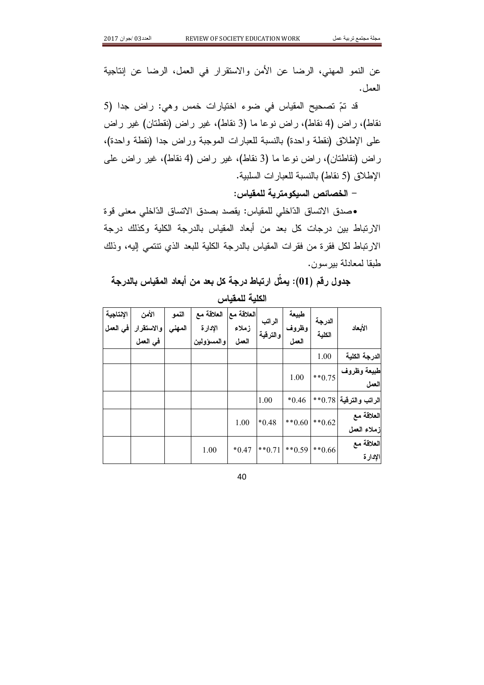عن النمو المهنى، الرضا عن الأمن والاستقرار في العمل، الرضا عن اِنتاجية العمل.

قد تمّ تصحيح المقياس في ضوء اختيارات خمس وهي: راض جدا (5 نقاط)، ر اض (4 نقاط)، ر اض نو عا ما (3 نقاط)، غیر ر اض (نقطتان) غیر ر اض على الإطلاق (نقطة وإحدة) بالنسبة للعبارات الموجبة وراض جدًا (نقطة وإحدة)، راض (نقاطتان)، راض نوعا ما (3 نقاط)، غیر راض (4 نقاط)، غیر راض علی الإطلاق (5 نقاط) بالنسبة للعبارات السلبية.

– الخصائص السيكومترية للمقياس:

•صدق الاتساق الدّاخلي للمقياس: يقصد بصدق الاتساق الدّاخلي معنى قوة الار تباط بين درجات كل بعد من أبعاد المقياس بالدرجة الكلية وكذلك درجة الار نباط لكل فقر ة من فقر ات المقياس بالدر جة الكلية للبعد الذي نتتمى إليه، وذلك طبقا لمعادلة ببر سون.

## جدول رقم (01): يمثِّل ارتباط درجة كل بعد من أبعاد المقياس بالدرجة الكلبة للمقباس

| الأبعاد                   | الدرجة<br>الكلية | طبيعة<br>وظروف<br>العمل | الراتب<br>والترقية | العلاقة معا<br>زملاء<br>العمل | العلاقة مع<br>الإدارة<br>والمسؤولين | النمو<br>المهنى | الأمن<br>والاستقرار<br>في العمل | الإنتاجية<br>افي العمل |
|---------------------------|------------------|-------------------------|--------------------|-------------------------------|-------------------------------------|-----------------|---------------------------------|------------------------|
| الدرجة الكلية             | 1.00             |                         |                    |                               |                                     |                 |                                 |                        |
| طبيعة وظروف<br>العمل      | $**0.75$         | 1.00                    |                    |                               |                                     |                 |                                 |                        |
| الراتب والترقية   0.78**  |                  | $*0.46$                 | 1.00               |                               |                                     |                 |                                 |                        |
| العلاقة مع<br>زملاء العمل | $**0.62$         | $***0.60$               | $*0.48$            | 1.00                          |                                     |                 |                                 |                        |
| العلاقة مع<br>الإدارة     | $**0.66$         | $*$ * 0.71 $*$ * 0.59   |                    | $*0.47$                       | 1.00                                |                 |                                 |                        |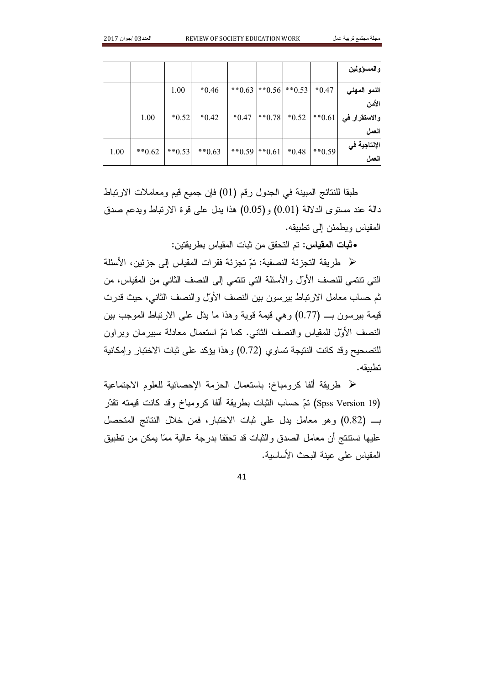|      |           |          |          |                   |                          |          | والمسؤولين                                                         |
|------|-----------|----------|----------|-------------------|--------------------------|----------|--------------------------------------------------------------------|
|      |           | 1.00     | $*0.46$  |                   | **0.63   **0.56   **0.53 | $*0.47$  | النمو المهني                                                       |
|      |           |          |          |                   |                          |          | الأمن                                                              |
|      | 1.00      | $*0.52$  | $*0.42$  | $*0.47$           |                          |          | $\vert *10.78 \vert *0.52 \vert *10.61 \vert$ والاستقرار في   0.61 |
|      |           |          |          |                   |                          |          | العمل                                                              |
| 1.00 | ** $0.62$ | $**0.53$ | $**0.63$ | $*$ 0.59 $*$ 0.61 | $*0.48$                  | $**0.59$ | الإنتاجية في                                                       |
|      |           |          |          |                   |                          |          | العمل                                                              |

طبقًا للنتائج المبينة في الجدول رقم (01) فإن جميع قيم ومعاملات الارتباط دالة عند مستوى الدلالة (0.01) و(0.05) هذا يدل على فوة الارتباط ويدعم صدق المقباس ويطمئن الى تطبيقه.

• ثبات المقياس: تم التحقق من ثبات المقياس بطر يقتين:

﴿ طريقة التجزئة النصفية: تمّ تجزئة فقرات المقياس إلى جزئين، الأسئلة التي تنتمي للنصف الأولِّ والأسئلة التي تنتمي إلى النصف الثاني من المقياس، من ثم حساب معامل الار تباط بير سون بين النصف الأولّ والنصف الثاني، حيث قدر ت قيمة بير سون بـ (0.77) وهي قيمة قوية وهذا ما يتل على الارتباط الموجب بين النصف الأولِّ للمقياس والنصف الثانبي. كما نمَّ استعمال معادلة سبيرمان وبراون للتصحيح وقد كانت النتيجة تساوى (0.72) وهذا يؤكد على ثبات الاختبار وإمكانية تطبيقه.

« طريقة ألفا كرومباخ: باستعمال الجزمة الاحصائية للعلوم الاجتماعية (Spss Version 19) تمّ حساب الثبات بطريقة ألفا كرومباخ وقد كانت قيمته نقدّر بـ (0.82) وهو معامل يدل على ثبات الاختبار، فمن خلال النتائج المتحصل عليها نستنتج أن معامل الصدق والثبات قد تحققا بدرجة عالية ممّا يمكن من تطبيق المقياس على عينة البحث الأساسبة.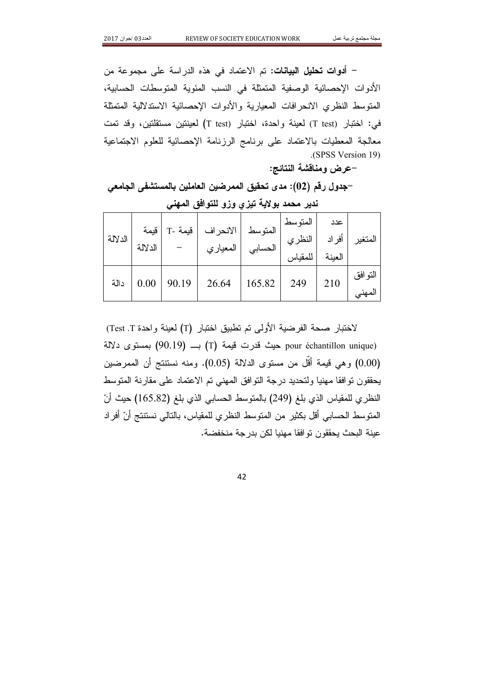– أ**دوات تحليل البيانات:** تم الاعتماد في هذه الدراسة على مجموعة من الأدوات الإحصائية الوصفية المتمثلة في النسب المئوية المتوسطات الحسابية، المنوسط النظرى الانحر افات المعيارية والأدوات الإحصائية الاستدلالية المتمثلة في: اختبار (T test) لعينة واحدة، اختبار (T test) لعينتين مستقلتين، وقد تمت معالجة المعطيات بالاعتماد على برنامج الرزنامة الإحصائية للعلوم الاجتماعية (SPSS Version 19)

-عرض ومناقشة النتائج:

–جدول رقم (02): مدى تحقيق الممرضين العاملين بالمستشفى الجامعي

| الدلالة | قيمة<br>الدلالة |       | المتوسط  الانحراف   قيمة -T | الحسابي   المعياري | المتوسط<br>أفراد النظري<br>للمقياس | عدد<br>العبنة | المتغير           |
|---------|-----------------|-------|-----------------------------|--------------------|------------------------------------|---------------|-------------------|
| دالة    |                 | 90.19 | 26.64                       | 165.82             | 249                                | 210           | التوافق<br>المهنى |

ندير محمد بولاية تيزري وزو للتوافق المهنى

لاختبار صحة الفرضية الأولى تم تطبيق اختبار (T) لعينة واحدة Test .T) pour échantillon unique) حيث قدرت قيمة (T) ب (90.19) بمستوى دلالة (0.00) وهي قيمة أقل من مستوى الدلالة (0.05). ومنه نستتتج أن الممرضين يحققون نوافقا مهنيا ولتحديد درجة النوافق المهنى تم الاعتماد على مقارنة المنوسط النظر ي للمقياس الذي بلغ (249) بالمنوسط الحسابي الذي بلغ (165.82) حيث أنّ المتوسط الحسابي أقل بكثير من المتوسط النظري للمقياس، بالتالي نستتتج أنّ أفراد عبِنة البحث بحققون تو افقا مهنبا لكن بدر جة منخفضة.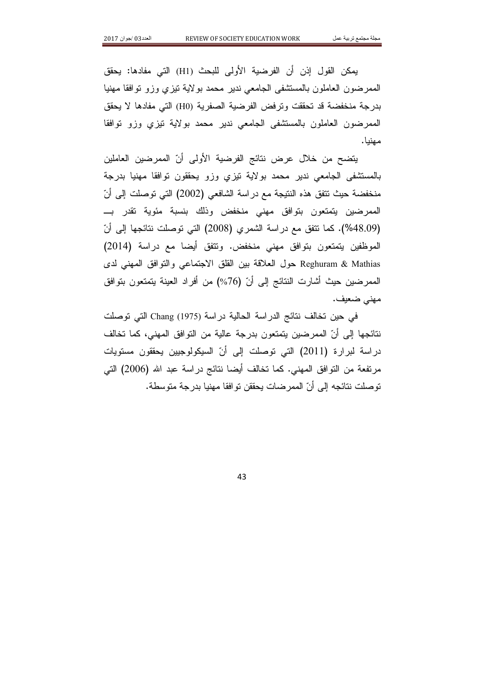يمكن القول إذن أن الفرضية الأولى للبحث (H1) التي مفادها: يحقق الممرضون العاملون بالمستشفى الجامعي ندير محمد بولاية نيزى وزو نوافقا مهنيا بدر جة منخفضة قد تحققت وتر فض الفر ضية الصفر ية (H0) التي مفادها لا يحقق الممرضون العاملون بالمستشفى الجامعى ندير محمد بولاية نيزي وزو نوافقا مهنيا.

يتضح من خلال عرض نتائج الفرضية الأولى أنّ الممرضين العاملين بالمستشفى الجامعي ندير محمد بولاية نيزي وزو يحققون نوافقا مهنيا بدرجة منخفضة حيث نتفق هذه النتيجة مع دراسة الشافعي (2002) التي توصلت إلى أنّ الممرضين يتمتعون بتوافق مهنى منخفض وذلك بنسبة مئوية تقدر بـ (48.09%). كما نتفق مع دراسة الشمري (2008) التي توصلت نتائجها إلى أنّ الموظفين يتمتعون بتوافق مهنى منخفض. وتتفق أيضا مع دراسة (2014) Reghuram & Mathias حول العلاقة بين القلق الاجتماعي والنوافق المهنى لدى الممرضين حيث أشارت النتائج إلى أنّ (76%) من أفراد العينة يتمتعون بتوافق مهنى ضعيف.

في حين تخالف نتائج الدر اسة الحالية در اسة Chang (1975) التي توصلت نتائجها إلى أنّ الممرضين يتمتعون بدرجة عالية من التوافق المهنى، كما تخالف دراسة لبرارة (2011) التي توصلت إلى أنّ السيكولوجيين يحققون مستويات مرنفعة من النَّوافق المهنى. كما تخالف أيضا نتائج دراسة عبد الله (2006) التي توصلت نتائجه إلى أنّ الممر ضات يحققن تو افقا مهنيا بدرجة متوسطة.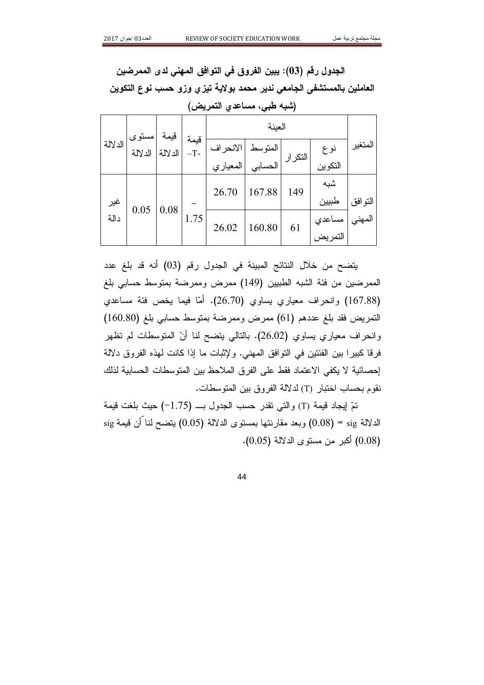الجدول رقم (03): يبين الفروق في التوافق المهني لدى الممرضين العاملين بالمستشفى الجامعي ندير محمد بولاية تيزي وزو حسب نوع التكوين (شبه طبي، مساعدي التمريض)

|         | مستوى ا | قيمة    |               |          | العبنة  |          |         |         |     |  |
|---------|---------|---------|---------------|----------|---------|----------|---------|---------|-----|--|
| الدلالة | الدلالة | الدلالة | قيمة<br>$-T-$ | الانحراف | المتوسط | التكرارا | نوع     | المتغير |     |  |
|         |         |         |               | المعياري | الحسابى |          | التكوين |         |     |  |
|         |         |         |               |          |         | 26.70    | 167.88  | 149     | شبه |  |
| غير     |         |         |               |          |         |          | طبيين   | التوافق |     |  |
| دالة    | 0.05    | 0.08    | 1.75          | 26.02    | 160.80  |          | مساعدي  | المهني  |     |  |
|         |         |         |               |          |         | 61       | التمريض |         |     |  |

يتضح من خلال النتائج المبينة في الجدول رقم (03) أنه قد بلغ عدد الممر ضبن من فئة الشبه الطبيبن (149) ممر ض وممر ضبة بمتوسط حسابي بلغ (167.88) وانحراف معياري يساوي (26.70). أمّا فيما يخص فئة مساعدي التمريض فقد بلغ عددهم (61) ممرض وممرضة بمتوسط حسابي بلغ (160.80) وانحراف معياري يساوي (26.02). بالنالي بتضح لنا أنّ المنوسطات لم نظهر فرقا كبيرًا بين الفئتين في التوافق المهني. ولإثبات ما إذا كانت لهذه الفروق دلالة إحصائية لا يكفي الاعتماد فقط على الفرق الملاحظ بين المتوسطات الحسابية لذلك نقوم بحساب اختبار (T) لدلالة الفروق بين المتوسطات.

تمِّ إيجاد قيمة (T) والتي تقدر حسب الجدول بــ (1.75−) حيث بلغت قيمة الدلالة sig = (0.08) وبعد مقارنتها بمستوى الدلالة (0.05) بتضح لنا أن قيمة sig (0.08) أكبر من مستوى الدلالة (0.05).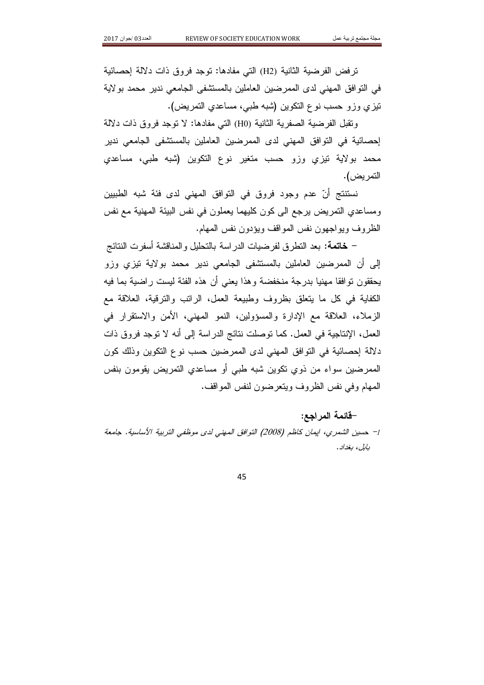ترفض الفرضية الثانية (H2) التي مفادها: توجد فروق ذات دلالة إحصائية في النوافق المهنى لدى الممرضين العاملين بالمستشفى الجامعي ندير محمد بولاية تيزي وزو حسب نوع التكوين (شبه طبي، مساعدي التمريض).

وتقبل الفرضية الصفرية الثانية (H0) التي مفادها: لا توجد فروق ذات دلالة إحصائية في التوافق المهني لدى الممرضين العاملين بالمستشفى الجامعي ندير محمد بولاية نيزي وزو حسب متغير نوع التكوين (شبه طبي، مساعدي التمر يض).

نستتتج أنّ عدم وجود فروق في التوافق المهنى لدى فئة شبه الطبيين ومساعدي التمريض برجع الى كون كليهما يعملون في نفس البيئة المهنية مع نفس الظر و ف و يو اجهو ن نفس المو اقف و يؤدو ن نفس المهام.

– **خاتمة:** بعد النطر ق لفر ضيات الدر اسة بالتحليل و المناقشة أسفر ت النتائج إلى أن الممرضين العاملين بالمستشفى الجامعي ندير محمد بولاية نيزي وزو يحققون نوافقا مهنيا بدرجة منخفضة وهذا يعنى أن هذه الفئة ليست راضية بما فيه الكفاية في كل ما يتعلق بظروف وطبيعة العمل، الراتب والترقية، العلاقة مع الزملاء، العلاقة مع الإدارة والمسؤولين، النمو المهنى، الأمن والاستقرار في العمل، الإنتاجية في العمل. كما توصلت نتائج الدر اسة إلى أنه لا توجد فروق ذات دلالة إحصائية في النوافق المهنى لدى الممرضين حسب نوع النكوين وذلك كون الممرضين سواء من ذوى نكوين شبه طبي أو مساعدي التمريض يقومون بنفس المهام وفي نفس الظروف ويتعرضون لنفس المواقف.

## –قائمة المراجع:

1– حسين الشمري، ايمان كاظم (2008) التوافق المهنى لدى موظفى التربية الأساسية. جامعة بايل، پغداد.